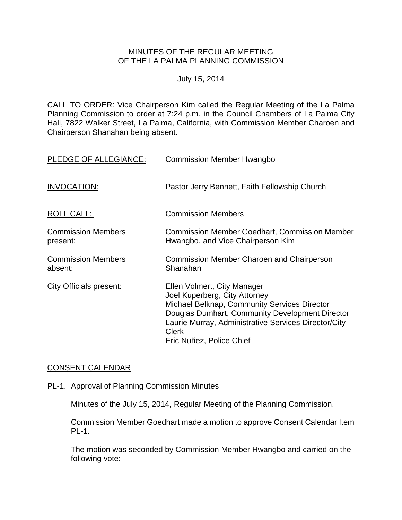### MINUTES OF THE REGULAR MEETING OF THE LA PALMA PLANNING COMMISSION

#### July 15, 2014

CALL TO ORDER: Vice Chairperson [Kim called the Regular Meeting of the La Palma](http://lapalma.granicus.com/MediaPlayer.php?view_id=&clip_id=839&meta_id=111352)  Planning Commission to order at 7:24 [p.m. in the Council Chambers of La Palma City](http://lapalma.granicus.com/MediaPlayer.php?view_id=&clip_id=839&meta_id=111352)  [Hall, 7822 Walker Street, La Palma, California, with Commission](http://lapalma.granicus.com/MediaPlayer.php?view_id=&clip_id=839&meta_id=111352) Member Charoen and Chairperson [Shanahan being absent.](http://lapalma.granicus.com/MediaPlayer.php?view_id=&clip_id=839&meta_id=111352)

| PLEDGE OF ALLEGIANCE:                 | <b>Commission Member Hwangbo</b>                                                                                                                                                                                                                                    |
|---------------------------------------|---------------------------------------------------------------------------------------------------------------------------------------------------------------------------------------------------------------------------------------------------------------------|
| <b>INVOCATION:</b>                    | Pastor Jerry Bennett, Faith Fellowship Church                                                                                                                                                                                                                       |
| ROLL CALL:                            | <b>Commission Members</b>                                                                                                                                                                                                                                           |
| <b>Commission Members</b><br>present: | <b>Commission Member Goedhart, Commission Member</b><br>Hwangbo, and Vice Chairperson Kim                                                                                                                                                                           |
| <b>Commission Members</b><br>absent:  | <b>Commission Member Charoen and Chairperson</b><br>Shanahan                                                                                                                                                                                                        |
| City Officials present:               | Ellen Volmert, City Manager<br>Joel Kuperberg, City Attorney<br>Michael Belknap, Community Services Director<br>Douglas Dumhart, Community Development Director<br>Laurie Murray, Administrative Services Director/City<br><b>Clerk</b><br>Eric Nuñez, Police Chief |

# [CONSENT CALENDAR](http://lapalma.granicus.com/MediaPlayer.php?view_id=&clip_id=839&meta_id=111382)

PL-1. Approval of Planning Commission Minutes

Minutes of the July 15, 2014, Regular Meeting of the Planning Commission.

Commission Member Goedhart made a motion to approve Consent Calendar Item PL-1.

The motion was seconded by Commission Member Hwangbo and carried on the following vote: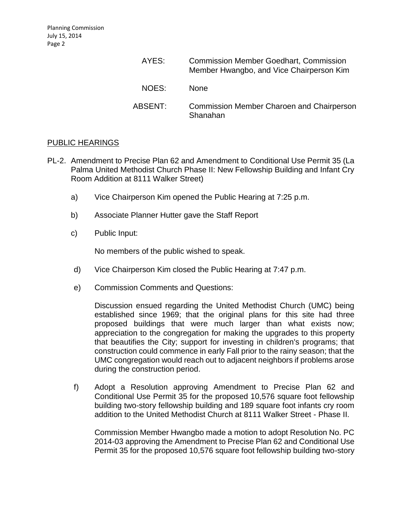| AYES:   | <b>Commission Member Goedhart, Commission</b><br>Member Hwangbo, and Vice Chairperson Kim |
|---------|-------------------------------------------------------------------------------------------|
| NOES:   | <b>None</b>                                                                               |
| ABSENT: | <b>Commission Member Charoen and Chairperson</b><br>Shanahan                              |

# [PUBLIC HEARINGS](http://lapalma.granicus.com/MediaPlayer.php?view_id=&clip_id=839&meta_id=111384)

- PL-2. [Amendment to Precise Plan 62 and Amendment to](http://lapalma.granicus.com/MediaPlayer.php?view_id=&clip_id=839&meta_id=111385) Conditional Use Permit 35 (La [Palma United Methodist Church Phase II: New Fellowship Building and Infant Cry](http://lapalma.granicus.com/MediaPlayer.php?view_id=&clip_id=839&meta_id=111385)  [Room Addition at 8111 Walker Street\)](http://lapalma.granicus.com/MediaPlayer.php?view_id=&clip_id=839&meta_id=111385)
	- a) [Vice Chairperson Kim opened the](http://lapalma.granicus.com/MediaPlayer.php?view_id=&clip_id=839&meta_id=111386) Public Hearing at 7:25 p.m.
	- b) [Associate Planner Hutter gave the](http://lapalma.granicus.com/MediaPlayer.php?view_id=&clip_id=839&meta_id=111387) Staff Report
	- c) [Public Input:](http://lapalma.granicus.com/MediaPlayer.php?view_id=&clip_id=839&meta_id=111388)

No members of the public wished to speak.

- d) [Vice Chairperson Kim closed the](http://lapalma.granicus.com/MediaPlayer.php?view_id=&clip_id=839&meta_id=111389) Public Hearing at 7:47 p.m.
- e) [Commission Comments and Questions:](http://lapalma.granicus.com/MediaPlayer.php?view_id=&clip_id=839&meta_id=111390)

Discussion ensued regarding the United Methodist Church (UMC) being established since 1969; that the original plans for this site had three proposed buildings that were much larger than what exists now; appreciation to the congregation for making the upgrades to this property that beautifies the City; support for investing in children's programs; that construction could commence in early Fall prior to the rainy season; that the UMC congregation would reach out to adjacent neighbors if problems arose during the construction period.

f) Adopt a Resolution approving Amendment to Precise Plan 62 and Conditional Use Permit 35 for the proposed 10,576 square foot fellowship building two-story fellowship building and 189 square foot infants cry room addition to the United Methodist Church at 8111 Walker Street - Phase II.

Commission Member Hwangbo made a motion to adopt Resolution No. PC 2014-03 approving the Amendment to Precise Plan 62 and Conditional Use Permit 35 for the proposed 10,576 square foot fellowship building two-story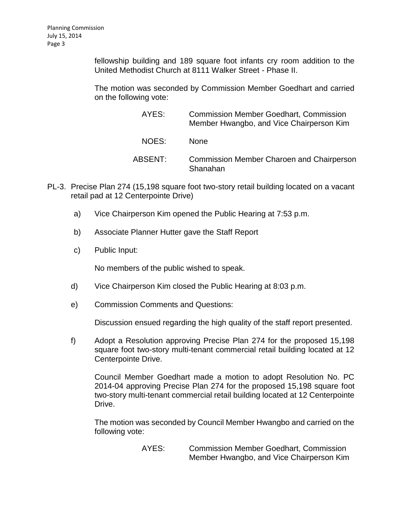fellowship building and 189 square foot infants cry room addition to the United Methodist Church at 8111 Walker Street - Phase II.

The motion was seconded by Commission Member Goedhart and carried on the following vote:

| AYES:   | <b>Commission Member Goedhart, Commission</b><br>Member Hwangbo, and Vice Chairperson Kim |
|---------|-------------------------------------------------------------------------------------------|
| NOES:   | <b>None</b>                                                                               |
| ABSENT: | <b>Commission Member Charoen and Chairperson</b><br>Shanahan                              |

- PL-3. [Precise Plan 274 \(15,198 square foot two-story retail building located on a vacant](http://lapalma.granicus.com/MediaPlayer.php?view_id=&clip_id=839&meta_id=111392)  [retail pad at 12 Centerpointe Drive\)](http://lapalma.granicus.com/MediaPlayer.php?view_id=&clip_id=839&meta_id=111392)
	- a) [Vice Chairperson Kim opened the](http://lapalma.granicus.com/MediaPlayer.php?view_id=&clip_id=839&meta_id=111393) Public Hearing at 7:53 p.m.
	- b) [Associate Planner Hutter gave the](http://lapalma.granicus.com/MediaPlayer.php?view_id=&clip_id=839&meta_id=111394) Staff Report
	- c) [Public Input:](http://lapalma.granicus.com/MediaPlayer.php?view_id=&clip_id=839&meta_id=111395)

No members of the public wished to speak.

- d) [Vice Chairperson Kim closed the](http://lapalma.granicus.com/MediaPlayer.php?view_id=&clip_id=839&meta_id=111396) Public Hearing at 8:03 p.m.
- e) [Commission Comments and Questions:](http://lapalma.granicus.com/MediaPlayer.php?view_id=&clip_id=839&meta_id=111397)

Discussion ensued regarding the high quality of the staff report presented.

f) Adopt a Resolution approving Precise Plan 274 for the proposed 15,198 square foot two-story multi-tenant commercial retail building located at 12 Centerpointe Drive.

Council Member Goedhart made a motion to adopt Resolution No. PC 2014-04 approving Precise Plan 274 for the proposed 15,198 square foot two-story multi-tenant commercial retail building located at 12 Centerpointe Drive.

The motion was seconded by Council Member Hwangbo and carried on the following vote:

> AYES: Commission Member Goedhart, Commission Member Hwangbo, and Vice Chairperson Kim